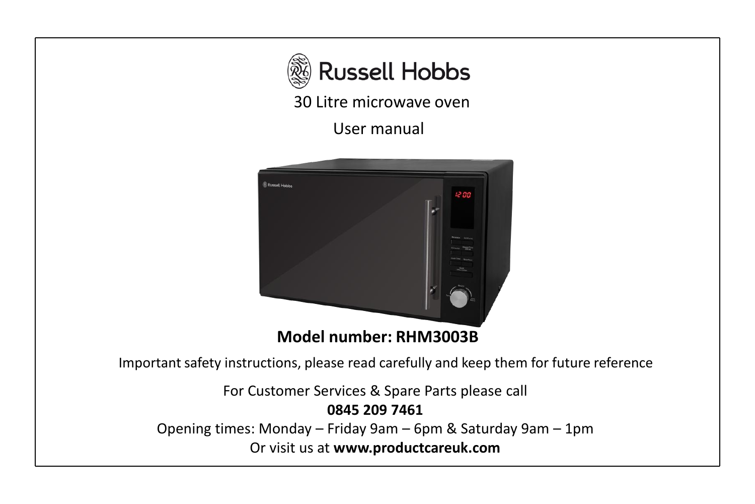

30 Litre microwave oven

User manual



Important safety instructions, please read carefully and keep them for future reference

For Customer Services & Spare Parts please call

**0845 209 7461**

Opening times: Monday – Friday 9am – 6pm & Saturday 9am – 1pm Or visit us at **www.productcareuk.com**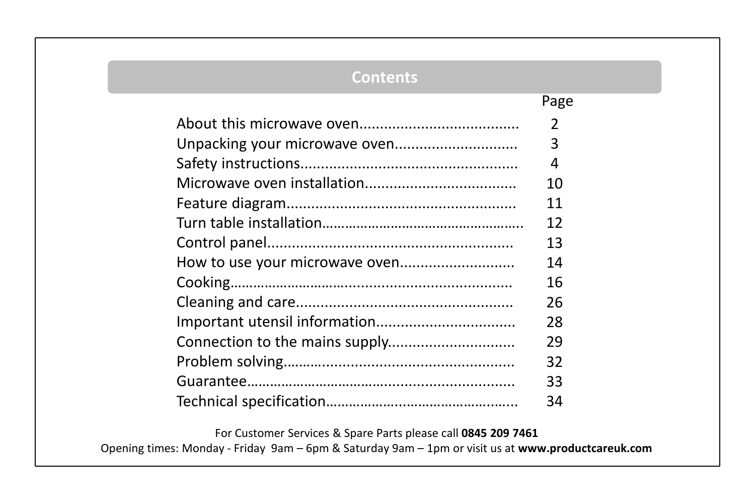## **Contents**

Page

| 2  |
|----|
| 3  |
| 4  |
| 10 |
| 11 |
| 12 |
| 13 |
| 14 |
| 16 |
| 26 |
| 28 |
| 29 |
| 32 |
| 33 |
| 34 |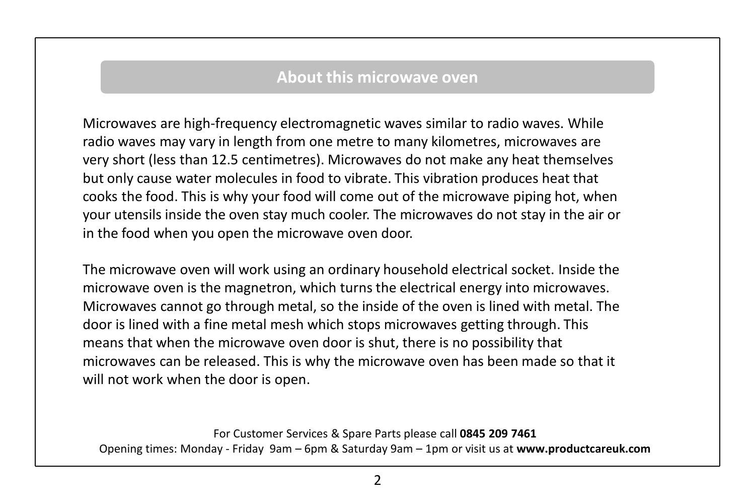## **About this microwave oven**

Microwaves are high-frequency electromagnetic waves similar to radio waves. While radio waves may vary in length from one metre to many kilometres, microwaves are very short (less than 12.5 centimetres). Microwaves do not make any heat themselves but only cause water molecules in food to vibrate. This vibration produces heat that cooks the food. This is why your food will come out of the microwave piping hot, when your utensils inside the oven stay much cooler. The microwaves do not stay in the air or in the food when you open the microwave oven door.

The microwave oven will work using an ordinary household electrical socket. Inside the microwave oven is the magnetron, which turns the electrical energy into microwaves. Microwaves cannot go through metal, so the inside of the oven is lined with metal. The door is lined with a fine metal mesh which stops microwaves getting through. This means that when the microwave oven door is shut, there is no possibility that microwaves can be released. This is why the microwave oven has been made so that it will not work when the door is open.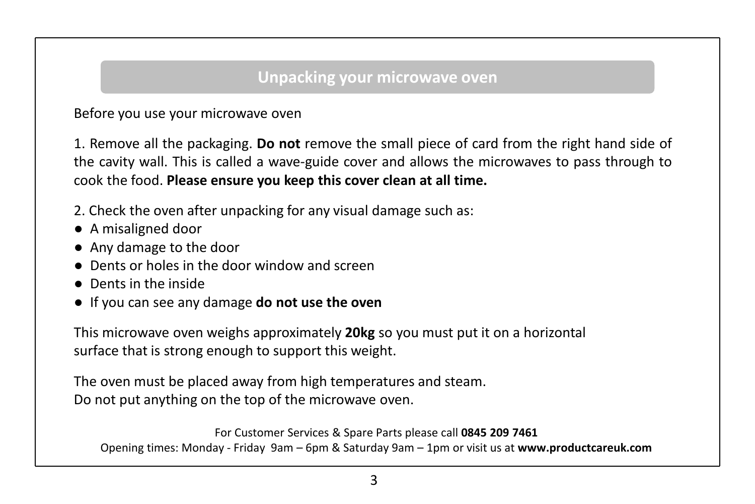## **Unpacking your microwave oven**

Before you use your microwave oven

1. Remove all the packaging. **Do not** remove the small piece of card from the right hand side of the cavity wall. This is called a wave-guide cover and allows the microwaves to pass through to cook the food. **Please ensure you keep this cover clean at all time.**

- 2. Check the oven after unpacking for any visual damage such as:
- A misaligned door
- Any damage to the door
- Dents or holes in the door window and screen
- Dents in the inside
- If you can see any damage **do not use the oven**

This microwave oven weighs approximately **20kg** so you must put it on a horizontal surface that is strong enough to support this weight.

The oven must be placed away from high temperatures and steam. Do not put anything on the top of the microwave oven.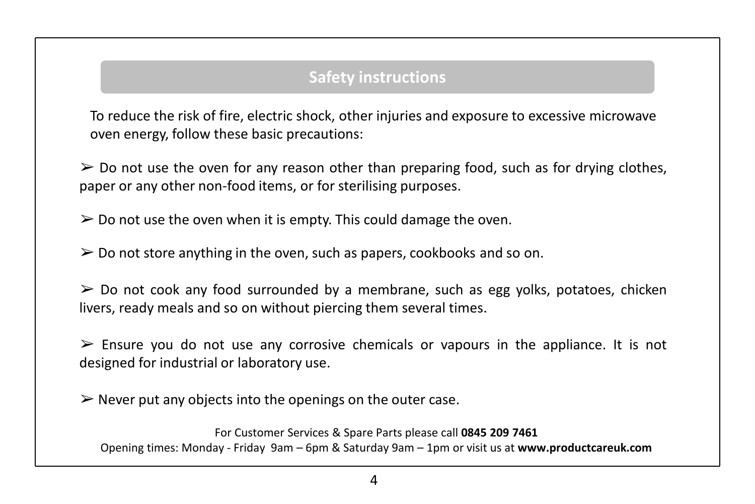To reduce the risk of fire, electric shock, other injuries and exposure to excessive microwave oven energy, follow these basic precautions:

 $\geq$  Do not use the oven for any reason other than preparing food, such as for drying clothes, paper or any other non-food items, or for sterilising purposes.

 $\geq 0$  not use the oven when it is empty. This could damage the oven.

 $\geq 0$  Do not store anything in the oven, such as papers, cookbooks and so on.

 $\geq$  Do not cook any food surrounded by a membrane, such as egg yolks, potatoes, chicken livers, ready meals and so on without piercing them several times.

 $\triangleright$  Ensure you do not use any corrosive chemicals or vapours in the appliance. It is not designed for industrial or laboratory use.

 $\triangleright$  Never put any objects into the openings on the outer case.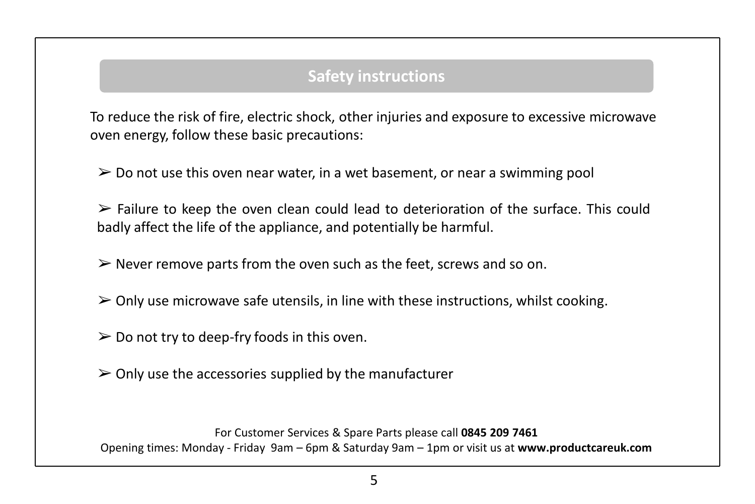To reduce the risk of fire, electric shock, other injuries and exposure to excessive microwave oven energy, follow these basic precautions:

 $\geq 0$  Do not use this oven near water, in a wet basement, or near a swimming pool

 $\triangleright$  Failure to keep the oven clean could lead to deterioration of the surface. This could badly affect the life of the appliance, and potentially be harmful.

 $\triangleright$  Never remove parts from the oven such as the feet, screws and so on.

- $\triangleright$  Only use microwave safe utensils, in line with these instructions, whilst cooking.
- $\geq 0$  not try to deep-fry foods in this oven.
- $\geq$  Only use the accessories supplied by the manufacturer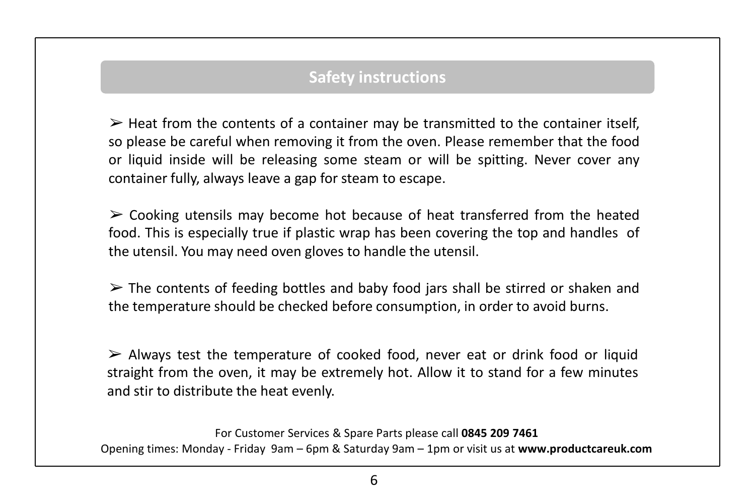$\triangleright$  Heat from the contents of a container may be transmitted to the container itself, so please be careful when removing it from the oven. Please remember that the food or liquid inside will be releasing some steam or will be spitting. Never cover any container fully, always leave a gap for steam to escape.

 $\triangleright$  Cooking utensils may become hot because of heat transferred from the heated food. This is especially true if plastic wrap has been covering the top and handles of the utensil. You may need oven gloves to handle the utensil.

 $\triangleright$  The contents of feeding bottles and baby food jars shall be stirred or shaken and the temperature should be checked before consumption, in order to avoid burns.

 $\triangleright$  Always test the temperature of cooked food, never eat or drink food or liquid straight from the oven, it may be extremely hot. Allow it to stand for a few minutes and stir to distribute the heat evenly.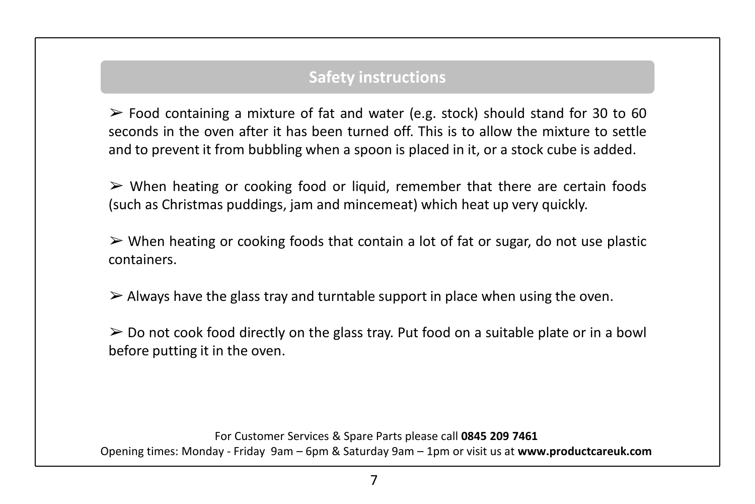$\triangleright$  Food containing a mixture of fat and water (e.g. stock) should stand for 30 to 60 seconds in the oven after it has been turned off. This is to allow the mixture to settle and to prevent it from bubbling when a spoon is placed in it, or a stock cube is added.

 $\triangleright$  When heating or cooking food or liquid, remember that there are certain foods (such as Christmas puddings, jam and mincemeat) which heat up very quickly.

 $\triangleright$  When heating or cooking foods that contain a lot of fat or sugar, do not use plastic containers.

 $\triangleright$  Always have the glass tray and turntable support in place when using the oven.

 $\triangleright$  Do not cook food directly on the glass tray. Put food on a suitable plate or in a bowl before putting it in the oven.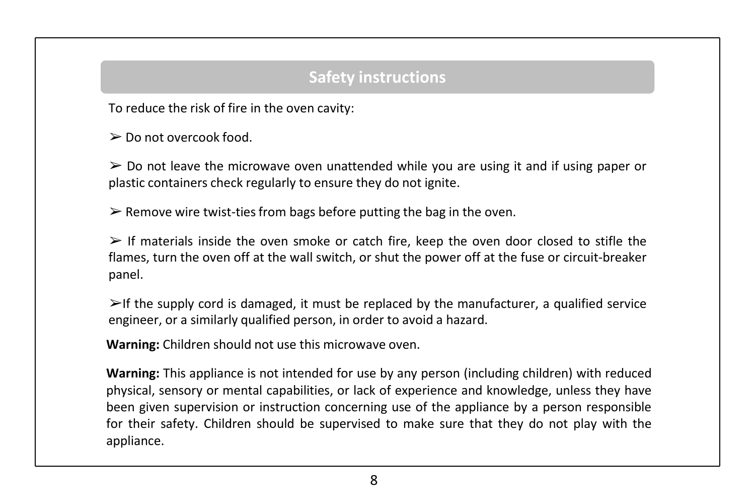To reduce the risk of fire in the oven cavity:

➢ Do not overcook food.

 $\geq$  Do not leave the microwave oven unattended while you are using it and if using paper or plastic containers check regularly to ensure they do not ignite.

 $\triangleright$  Remove wire twist-ties from bags before putting the bag in the oven.

 $\triangleright$  If materials inside the oven smoke or catch fire, keep the oven door closed to stifle the flames, turn the oven off at the wall switch, or shut the power off at the fuse or circuit-breaker panel.

 $\triangleright$ If the supply cord is damaged, it must be replaced by the manufacturer, a qualified service engineer, or a similarly qualified person, in order to avoid a hazard.

**Warning:** Children should not use this microwave oven.

**Warning:** This appliance is not intended for use by any person (including children) with reduced physical, sensory or mental capabilities, or lack of experience and knowledge, unless they have been given supervision or instruction concerning use of the appliance by a person responsible for their safety. Children should be supervised to make sure that they do not play with the appliance.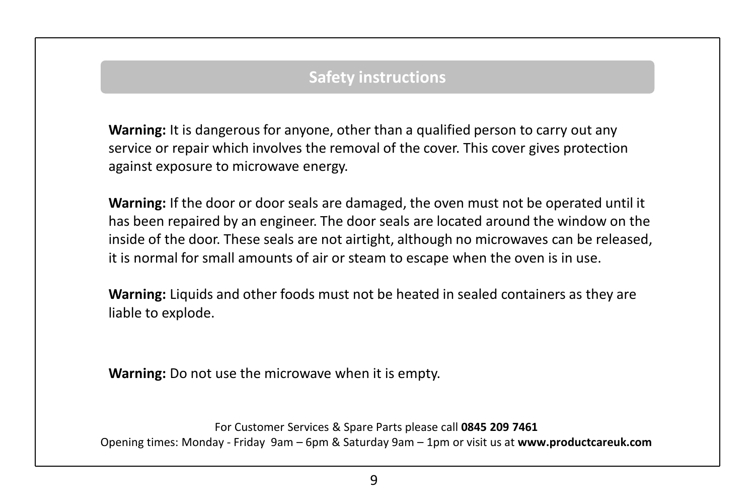**Warning:** It is dangerous for anyone, other than a qualified person to carry out any service or repair which involves the removal of the cover. This cover gives protection against exposure to microwave energy.

**Warning:** If the door or door seals are damaged, the oven must not be operated until it has been repaired by an engineer. The door seals are located around the window on the inside of the door. These seals are not airtight, although no microwaves can be released, it is normal for small amounts of air or steam to escape when the oven is in use.

**Warning:** Liquids and other foods must not be heated in sealed containers as they are liable to explode.

**Warning:** Do not use the microwave when it is empty.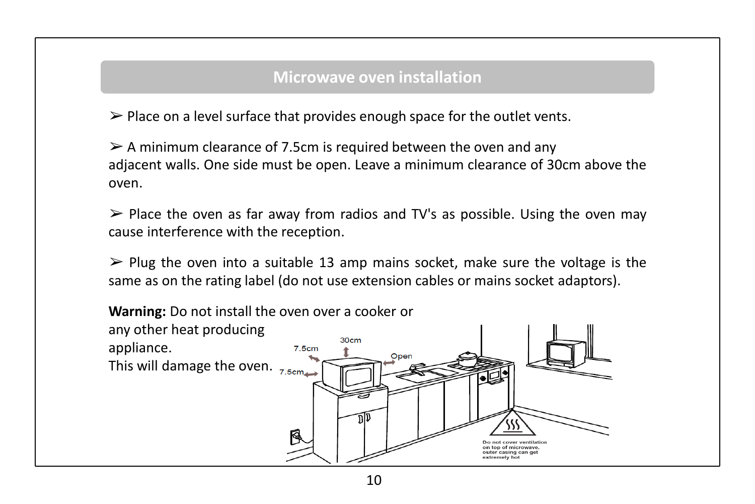## **Microwave oven installation**

 $\triangleright$  Place on a level surface that provides enough space for the outlet vents.

 $\geq$  A minimum clearance of 7.5cm is required between the oven and any adjacent walls. One side must be open. Leave a minimum clearance of 30cm above the oven.

 $\triangleright$  Place the oven as far away from radios and TV's as possible. Using the oven may cause interference with the reception.

 $\triangleright$  Plug the oven into a suitable 13 amp mains socket, make sure the voltage is the same as on the rating label (do not use extension cables or mains socket adaptors).

**Warning:** Do not install the oven over a cooker or any other heat producing 30cm appliance. 7.5cm Oper This will damage the oven.  $_{7.5cm}$ Do not cover ventilation on top of microwave. outer casing can get extremely ho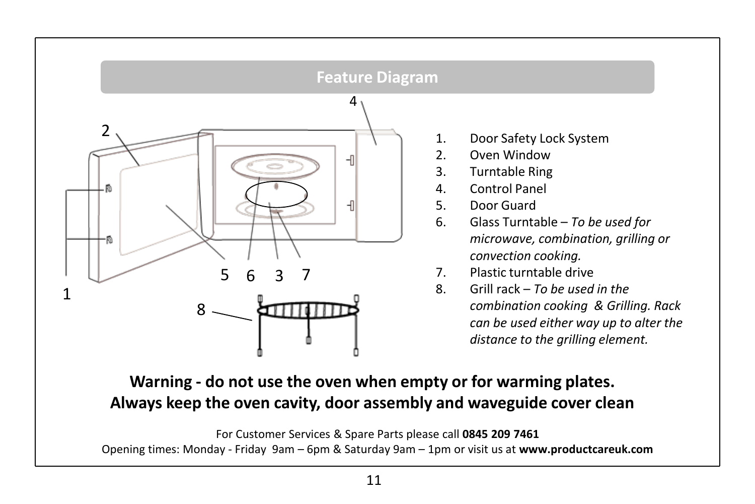

1. Door Safety Lock System

- 2. Oven Window
- 3. Turntable Ring
- 4. Control Panel
- 5. Door Guard
- 6. Glass Turntable *To be used for microwave, combination, grilling or convection cooking.*
- 7. Plastic turntable drive
- 8. Grill rack *To be used in the combination cooking & Grilling. Rack can be used either way up to alter the distance to the grilling element.*

**Warning - do not use the oven when empty or for warming plates. Always keep the oven cavity, door assembly and waveguide cover clean**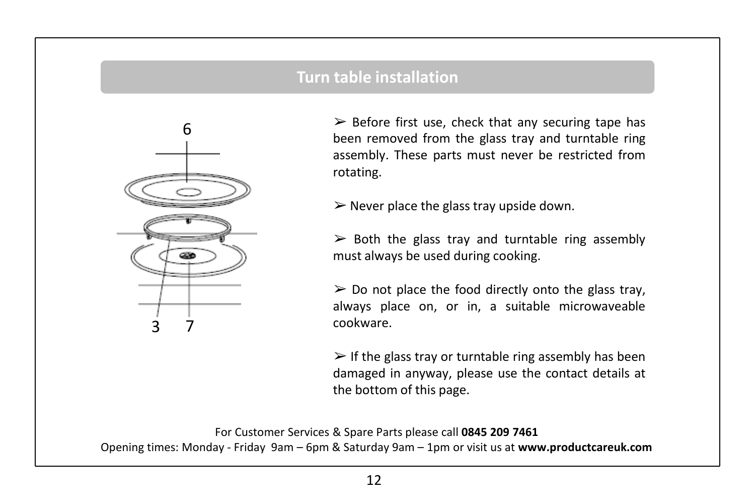## **Turn table installation**



 $\triangleright$  Before first use, check that any securing tape has been removed from the glass tray and turntable ring assembly. These parts must never be restricted from rotating.

 $\triangleright$  Never place the glass tray upside down.

 $\triangleright$  Both the glass tray and turntable ring assembly must always be used during cooking.

 $\triangleright$  Do not place the food directly onto the glass tray, always place on, or in, a suitable microwaveable cookware.

 $\triangleright$  If the glass tray or turntable ring assembly has been damaged in anyway, please use the contact details at the bottom of this page.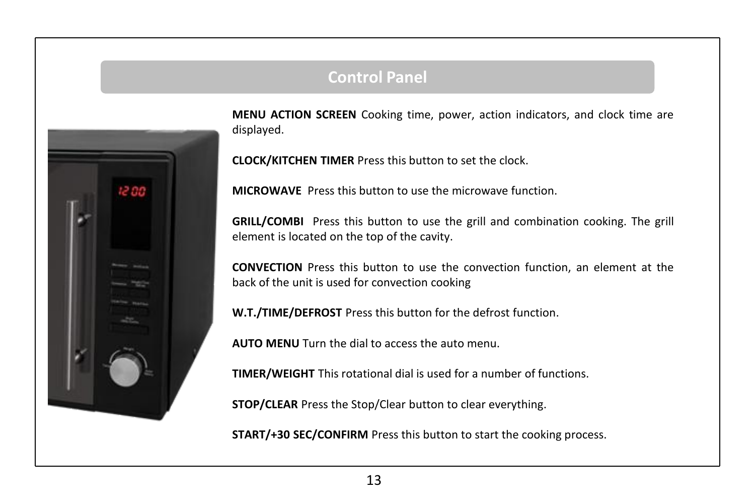## **Control Panel**



**MENU ACTION SCREEN** Cooking time, power, action indicators, and clock time are displayed.

**CLOCK/KITCHEN TIMER** Press this button to set the clock.

**MICROWAVE** Press this button to use the microwave function.

**GRILL/COMBI** Press this button to use the grill and combination cooking. The grill element is located on the top of the cavity.

**CONVECTION** Press this button to use the convection function, an element at the back of the unit is used for convection cooking

**W.T./TIME/DEFROST** Press this button for the defrost function.

**AUTO MENU** Turn the dial to access the auto menu.

**TIMER/WEIGHT** This rotational dial is used for a number of functions.

**STOP/CLEAR** Press the Stop/Clear button to clear everything.

**START/+30 SEC/CONFIRM** Press this button to start the cooking process.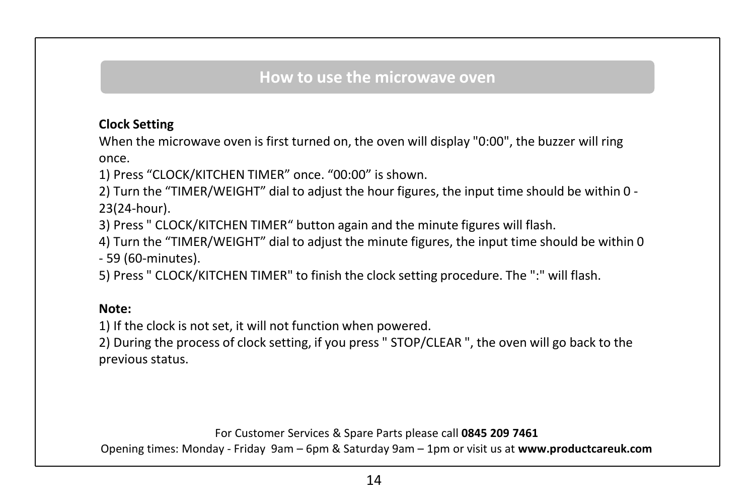## **How to use the microwave oven**

## **Clock Setting**

When the microwave oven is first turned on, the oven will display "0:00", the buzzer will ring once.

1) Press "CLOCK/KITCHEN TIMER" once. "00:00" is shown.

2) Turn the "TIMER/WEIGHT" dial to adjust the hour figures, the input time should be within 0 - 23(24-hour).

3) Press " CLOCK/KITCHEN TIMER" button again and the minute figures will flash.

4) Turn the "TIMER/WEIGHT" dial to adjust the minute figures, the input time should be within 0 - 59 (60-minutes).

5) Press " CLOCK/KITCHEN TIMER" to finish the clock setting procedure. The ":" will flash.

#### **Note:**

1) If the clock is not set, it will not function when powered.

2) During the process of clock setting, if you press " STOP/CLEAR ", the oven will go back to the previous status.

For Customer Services & Spare Parts please call **0845 209 7461** 

Opening times: Monday - Friday 9am – 6pm & Saturday 9am – 1pm or visit us at **www.productcareuk.com**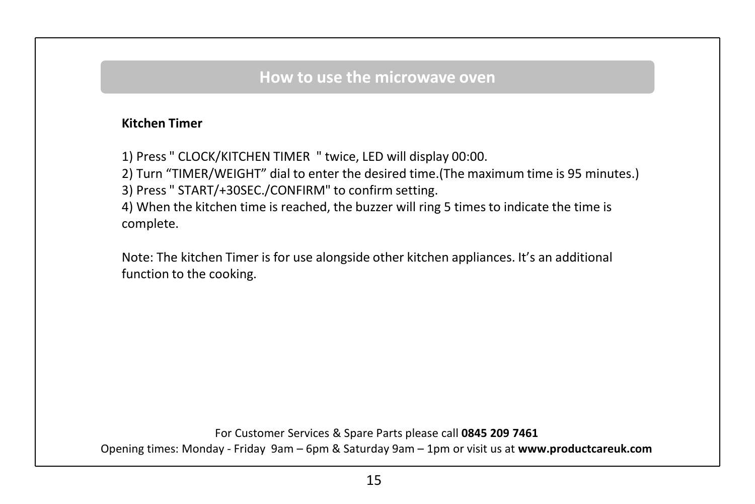## **How to use the microwave oven**

### **Kitchen Timer**

1) Press " CLOCK/KITCHEN TIMER " twice, LED will display 00:00.

2) Turn "TIMER/WEIGHT" dial to enter the desired time.(The maximum time is 95 minutes.)

3) Press " START/+30SEC./CONFIRM" to confirm setting.

4) When the kitchen time is reached, the buzzer will ring 5 times to indicate the time is complete.

Note: The kitchen Timer is for use alongside other kitchen appliances. It's an additional function to the cooking.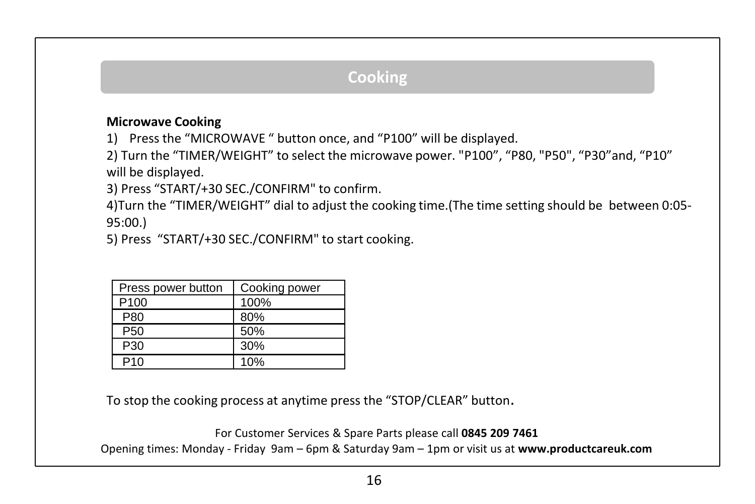### **Microwave Cooking**

1) Press the "MICROWAVE " button once, and "P100" will be displayed.

2) Turn the "TIMER/WEIGHT" to select the microwave power. "P100", "P80, "P50", "P30"and, "P10" will be displayed.

3) Press "START/+30 SEC./CONFIRM" to confirm.

4)Turn the "TIMER/WEIGHT" dial to adjust the cooking time.(The time setting should be between 0:05- 95:00.)

5) Press "START/+30 SEC./CONFIRM" to start cooking.

| Press power button | Cooking power |
|--------------------|---------------|
| P <sub>100</sub>   | 100%          |
| P80                | 80%           |
| P <sub>50</sub>    | 50%           |
| P <sub>30</sub>    | 30%           |
| P10                | 10%           |

To stop the cooking process at anytime press the "STOP/CLEAR" button.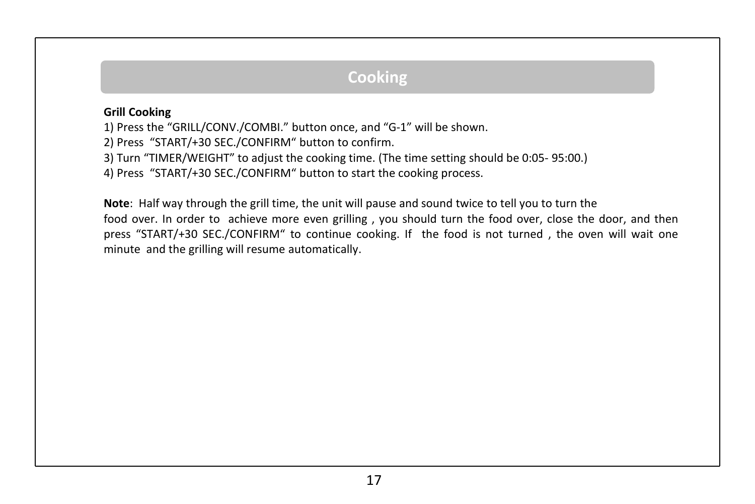#### **Grill Cooking**

1) Press the "GRILL/CONV./COMBI." button once, and "G-1" will be shown.

2) Press "START/+30 SEC./CONFIRM" button to confirm.

3) Turn "TIMER/WEIGHT" to adjust the cooking time. (The time setting should be 0:05- 95:00.)

4) Press "START/+30 SEC./CONFIRM" button to start the cooking process.

**Note**: Half way through the grill time, the unit will pause and sound twice to tell you to turn the food over. In order to achieve more even grilling , you should turn the food over, close the door, and then press "START/+30 SEC./CONFIRM" to continue cooking. If the food is not turned , the oven will wait one minute and the grilling will resume automatically.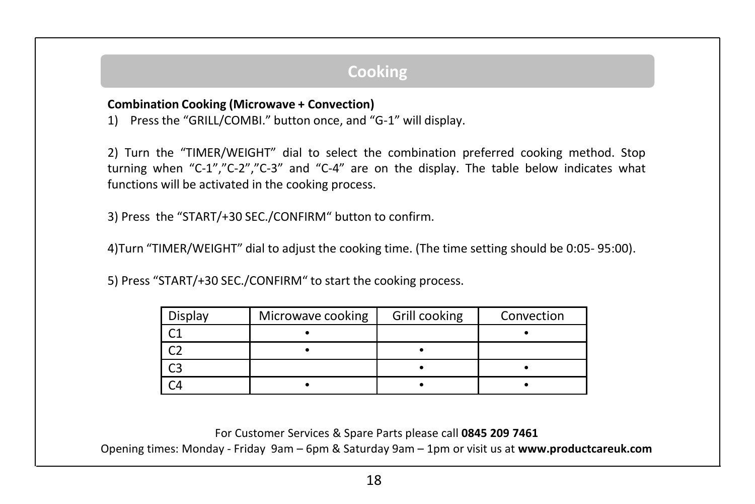#### **Combination Cooking (Microwave + Convection)**

1) Press the "GRILL/COMBI." button once, and "G-1" will display.

2) Turn the "TIMER/WEIGHT" dial to select the combination preferred cooking method. Stop turning when "C-1","C-2","C-3" and "C-4" are on the display. The table below indicates what functions will be activated in the cooking process.

3) Press the "START/+30 SEC./CONFIRM" button to confirm.

4)Turn "TIMER/WEIGHT" dial to adjust the cooking time. (The time setting should be 0:05- 95:00).

5) Press "START/+30 SEC./CONFIRM" to start the cooking process.

| Display | Microwave cooking | Grill cooking | Convection |
|---------|-------------------|---------------|------------|
|         |                   |               |            |
|         |                   |               |            |
|         |                   |               |            |
|         |                   |               |            |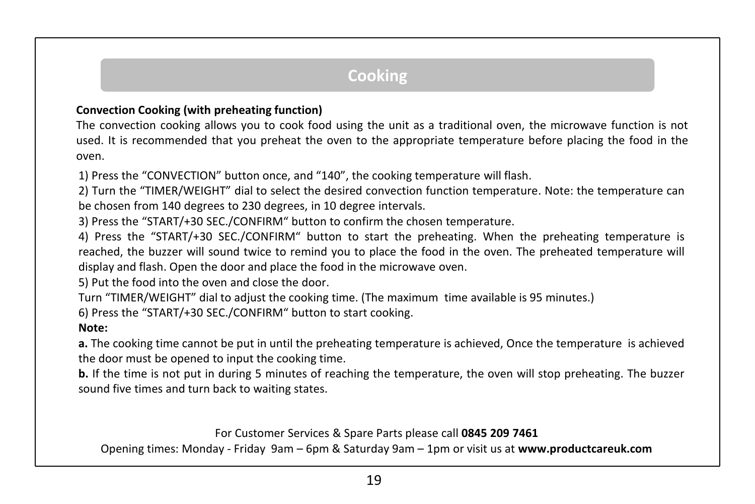#### **Convection Cooking (with preheating function)**

The convection cooking allows you to cook food using the unit as a traditional oven, the microwave function is not used. It is recommended that you preheat the oven to the appropriate temperature before placing the food in the oven.

1) Press the "CONVECTION" button once, and "140", the cooking temperature will flash.

2) Turn the "TIMER/WEIGHT" dial to select the desired convection function temperature. Note: the temperature can be chosen from 140 degrees to 230 degrees, in 10 degree intervals.

3) Press the "START/+30 SEC./CONFIRM" button to confirm the chosen temperature.

4) Press the "START/+30 SEC./CONFIRM" button to start the preheating. When the preheating temperature is reached, the buzzer will sound twice to remind you to place the food in the oven. The preheated temperature will display and flash. Open the door and place the food in the microwave oven.

5) Put the food into the oven and close the door.

Turn "TIMER/WEIGHT" dial to adjust the cooking time. (The maximum time available is 95 minutes.)

6) Press the "START/+30 SEC./CONFIRM" button to start cooking.

#### **Note:**

**a.** The cooking time cannot be put in until the preheating temperature is achieved, Once the temperature is achieved the door must be opened to input the cooking time.

**b.** If the time is not put in during 5 minutes of reaching the temperature, the oven will stop preheating. The buzzer sound five times and turn back to waiting states.

For Customer Services & Spare Parts please call **0845 209 7461** 

Opening times: Monday - Friday 9am – 6pm & Saturday 9am – 1pm or visit us at **www.productcareuk.com**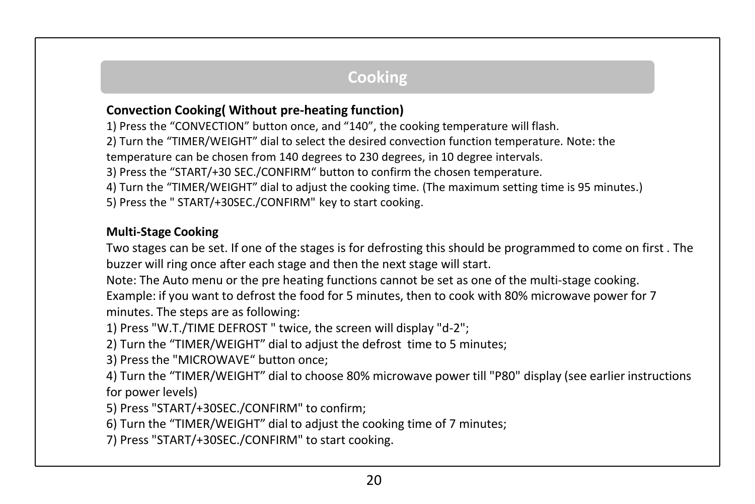### **Convection Cooking( Without pre-heating function)**

1) Press the "CONVECTION" button once, and "140", the cooking temperature will flash.

2) Turn the "TIMER/WEIGHT" dial to select the desired convection function temperature. Note: the

temperature can be chosen from 140 degrees to 230 degrees, in 10 degree intervals.

3) Press the "START/+30 SEC./CONFIRM" button to confirm the chosen temperature.

4) Turn the "TIMER/WEIGHT" dial to adjust the cooking time. (The maximum setting time is 95 minutes.)

5) Press the " START/+30SEC./CONFIRM" key to start cooking.

#### **Multi-Stage Cooking**

Two stages can be set. If one of the stages is for defrosting this should be programmed to come on first . The buzzer will ring once after each stage and then the next stage will start.

Note: The Auto menu or the pre heating functions cannot be set as one of the multi-stage cooking. Example: if you want to defrost the food for 5 minutes, then to cook with 80% microwave power for 7 minutes. The steps are as following:

1) Press "W.T./TIME DEFROST " twice, the screen will display "d-2";

2) Turn the "TIMER/WEIGHT" dial to adjust the defrost time to 5 minutes;

3) Press the "MICROWAVE" button once;

4) Turn the "TIMER/WEIGHT" dial to choose 80% microwave power till "P80" display (see earlier instructions for power levels)

5) Press "START/+30SEC./CONFIRM" to confirm;

6) Turn the "TIMER/WEIGHT" dial to adjust the cooking time of 7 minutes;

7) Press "START/+30SEC./CONFIRM" to start cooking.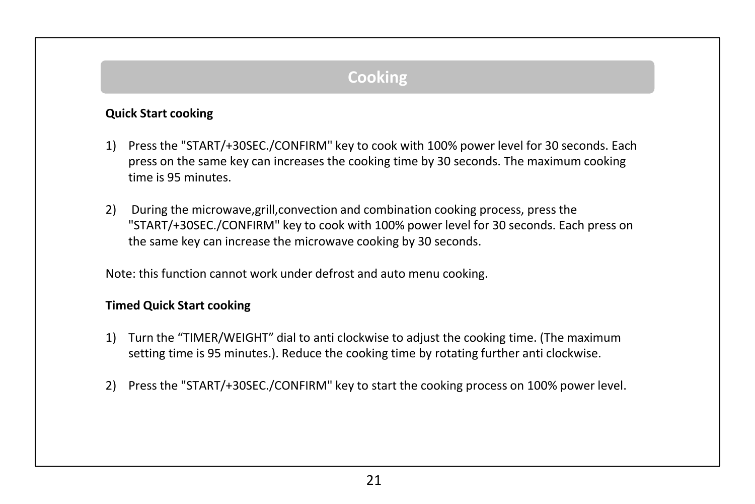#### **Quick Start cooking**

- 1) Press the "START/+30SEC./CONFIRM" key to cook with 100% power level for 30 seconds. Each press on the same key can increases the cooking time by 30 seconds. The maximum cooking time is 95 minutes.
- 2) During the microwave,grill,convection and combination cooking process, press the "START/+30SEC./CONFIRM" key to cook with 100% power level for 30 seconds. Each press on the same key can increase the microwave cooking by 30 seconds.

Note: this function cannot work under defrost and auto menu cooking.

#### **Timed Quick Start cooking**

- 1) Turn the "TIMER/WEIGHT" dial to anti clockwise to adjust the cooking time. (The maximum setting time is 95 minutes.). Reduce the cooking time by rotating further anti clockwise.
- 2) Press the "START/+30SEC./CONFIRM" key to start the cooking process on 100% power level.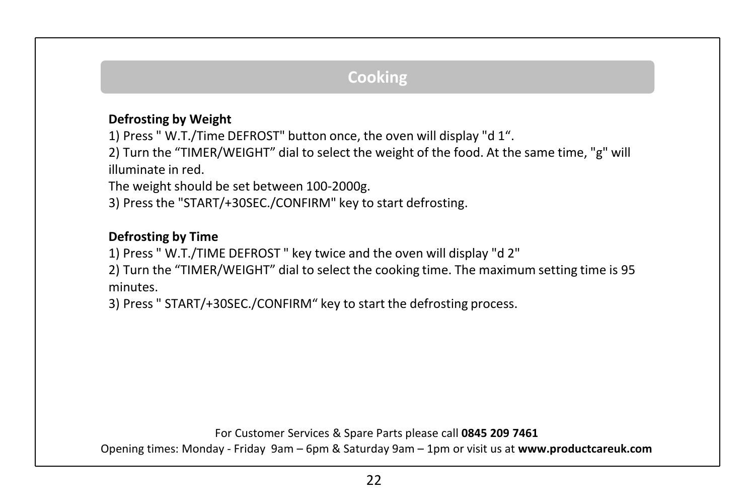### **Defrosting by Weight**

1) Press " W.T./Time DEFROST" button once, the oven will display "d 1".

2) Turn the "TIMER/WEIGHT" dial to select the weight of the food. At the same time, "g" will illuminate in red.

The weight should be set between 100-2000g.

3) Press the "START/+30SEC./CONFIRM" key to start defrosting.

### **Defrosting by Time**

1) Press " W.T./TIME DEFROST " key twice and the oven will display "d 2"

2) Turn the "TIMER/WEIGHT" dial to select the cooking time. The maximum setting time is 95 minutes.

3) Press " START/+30SEC./CONFIRM" key to start the defrosting process.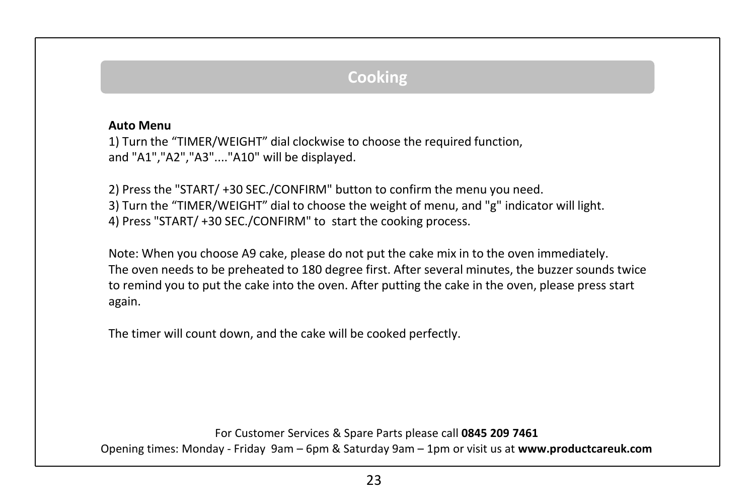#### **Auto Menu**

1) Turn the "TIMER/WEIGHT" dial clockwise to choose the required function, and "A1","A2","A3"...."A10" will be displayed.

2) Press the "START/ +30 SEC./CONFIRM" button to confirm the menu you need. 3) Turn the "TIMER/WEIGHT" dial to choose the weight of menu, and "g" indicator will light. 4) Press "START/ +30 SEC./CONFIRM" to start the cooking process.

Note: When you choose A9 cake, please do not put the cake mix in to the oven immediately. The oven needs to be preheated to 180 degree first. After several minutes, the buzzer sounds twice to remind you to put the cake into the oven. After putting the cake in the oven, please press start again.

The timer will count down, and the cake will be cooked perfectly.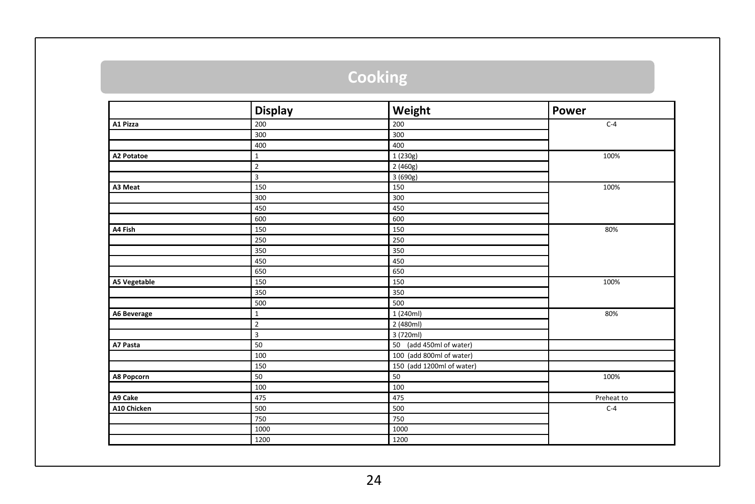|                     | <b>Display</b> | Weight                     | Power      |
|---------------------|----------------|----------------------------|------------|
| A1 Pizza            | 200            | 200                        | $C-4$      |
|                     | 300            | 300                        |            |
|                     | 400            | 400                        |            |
| <b>A2 Potatoe</b>   | $\mathbf{1}$   | 1 (230g)                   | 100%       |
|                     | $\overline{2}$ | 2 (460g)                   |            |
|                     | 3              | 3 (690g)                   |            |
| A3 Meat             | 150            | 150                        | 100%       |
|                     | 300            | 300                        |            |
|                     | 450            | 450                        |            |
|                     | 600            | 600                        |            |
| A4 Fish             | 150            | 150                        | 80%        |
|                     | 250            | 250                        |            |
|                     | 350            | 350                        |            |
|                     | 450            | 450                        |            |
|                     | 650            | 650                        |            |
| <b>A5 Vegetable</b> | 150            | 150                        | 100%       |
|                     | 350            | 350                        |            |
|                     | 500            | 500                        |            |
| A6 Beverage         | $\mathbf{1}$   | 1 (240ml)                  | 80%        |
|                     | $\overline{2}$ | 2 (480ml)                  |            |
|                     | 3              | 3 (720ml)                  |            |
| A7 Pasta            | 50             | (add 450ml of water)<br>50 |            |
|                     | 100            | 100 (add 800ml of water)   |            |
|                     | 150            | 150 (add 1200ml of water)  |            |
| A8 Popcorn          | 50             | 50                         | 100%       |
|                     | 100            | 100                        |            |
| A9 Cake             | 475            | 475                        | Preheat to |
| A10 Chicken         | 500            | 500                        | $C-4$      |
|                     | 750            | 750                        |            |
|                     | 1000           | 1000                       |            |
|                     | 1200           | 1200                       |            |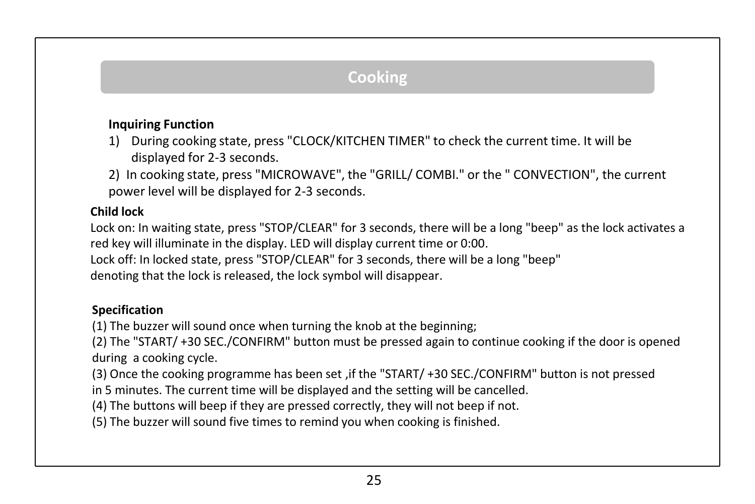### **Inquiring Function**

- 1) During cooking state, press "CLOCK/KITCHEN TIMER" to check the current time. It will be displayed for 2-3 seconds.
- 2) In cooking state, press "MICROWAVE", the "GRILL/ COMBI." or the " CONVECTION", the current power level will be displayed for 2-3 seconds.

#### **Child lock**

Lock on: In waiting state, press "STOP/CLEAR" for 3 seconds, there will be a long "beep" as the lock activates a red key will illuminate in the display. LED will display current time or 0:00.

Lock off: In locked state, press "STOP/CLEAR" for 3 seconds, there will be a long "beep" denoting that the lock is released, the lock symbol will disappear.

### **Specification**

(1) The buzzer will sound once when turning the knob at the beginning;

(2) The "START/ +30 SEC./CONFIRM" button must be pressed again to continue cooking if the door is opened during a cooking cycle.

(3) Once the cooking programme has been set ,if the "START/ +30 SEC./CONFIRM" button is not pressed

in 5 minutes. The current time will be displayed and the setting will be cancelled.

(4) The buttons will beep if they are pressed correctly, they will not beep if not.

(5) The buzzer will sound five times to remind you when cooking is finished.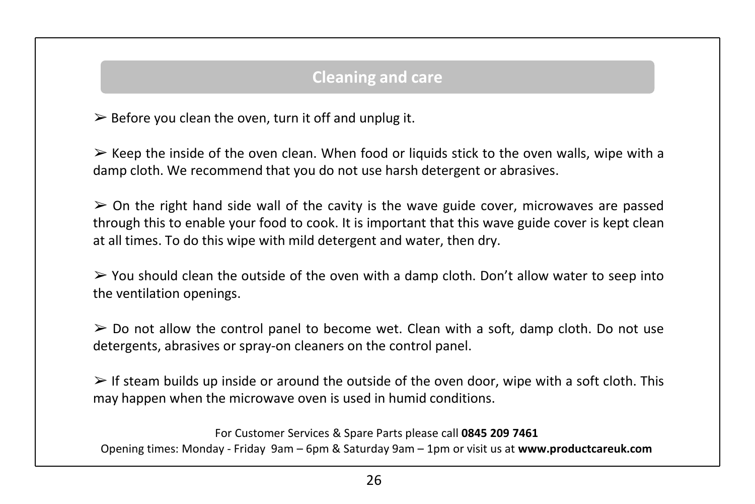## **Cleaning and care**

 $\triangleright$  Before you clean the oven, turn it off and unplug it.

 $\triangleright$  Keep the inside of the oven clean. When food or liquids stick to the oven walls, wipe with a damp cloth. We recommend that you do not use harsh detergent or abrasives.

 $\geq$  On the right hand side wall of the cavity is the wave guide cover, microwaves are passed through this to enable your food to cook. It is important that this wave guide cover is kept clean at all times. To do this wipe with mild detergent and water, then dry.

 $\triangleright$  You should clean the outside of the oven with a damp cloth. Don't allow water to seep into the ventilation openings.

 $\geq$  Do not allow the control panel to become wet. Clean with a soft, damp cloth. Do not use detergents, abrasives or spray-on cleaners on the control panel.

 $\triangleright$  If steam builds up inside or around the outside of the oven door, wipe with a soft cloth. This may happen when the microwave oven is used in humid conditions.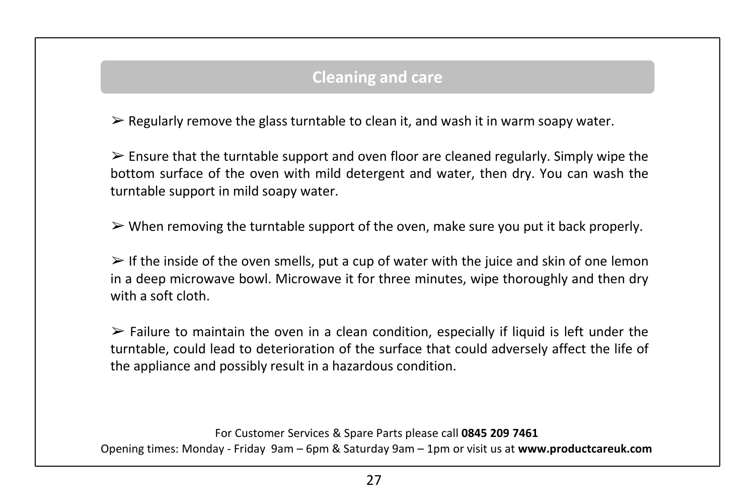# **Cleaning and care**

 $\triangleright$  Regularly remove the glass turntable to clean it, and wash it in warm soapy water.

 $\triangleright$  Ensure that the turntable support and oven floor are cleaned regularly. Simply wipe the bottom surface of the oven with mild detergent and water, then dry. You can wash the turntable support in mild soapy water.

 $\triangleright$  When removing the turntable support of the oven, make sure you put it back properly.

 $\triangleright$  If the inside of the oven smells, put a cup of water with the juice and skin of one lemon in a deep microwave bowl. Microwave it for three minutes, wipe thoroughly and then dry with a soft cloth.

 $\triangleright$  Failure to maintain the oven in a clean condition, especially if liquid is left under the turntable, could lead to deterioration of the surface that could adversely affect the life of the appliance and possibly result in a hazardous condition.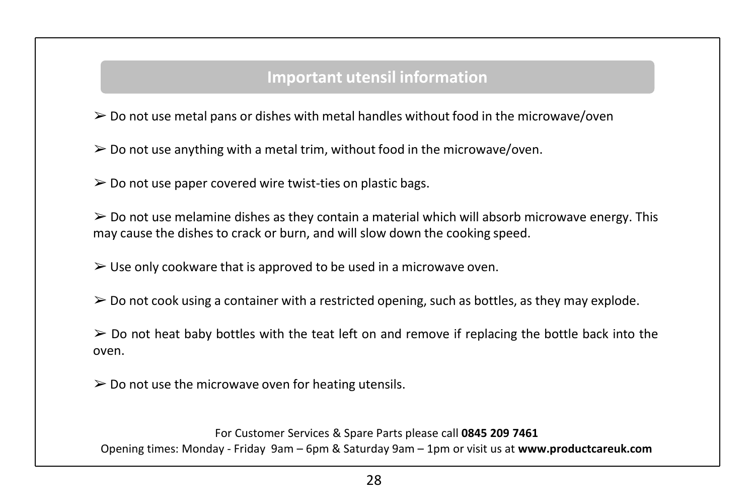## **Important utensil information**

 $\geq 0$  not use metal pans or dishes with metal handles without food in the microwave/oven

 $\geq 0$  not use anything with a metal trim, without food in the microwave/oven.

 $\geq 0$  not use paper covered wire twist-ties on plastic bags.

 $\geq 0$  not use melamine dishes as they contain a material which will absorb microwave energy. This may cause the dishes to crack or burn, and will slow down the cooking speed.

 $\triangleright$  Use only cookware that is approved to be used in a microwave oven.

 $\geq 0$  not cook using a container with a restricted opening, such as bottles, as they may explode.

 $\geq$  Do not heat baby bottles with the teat left on and remove if replacing the bottle back into the oven.

 $\geq 0$  not use the microwave oven for heating utensils.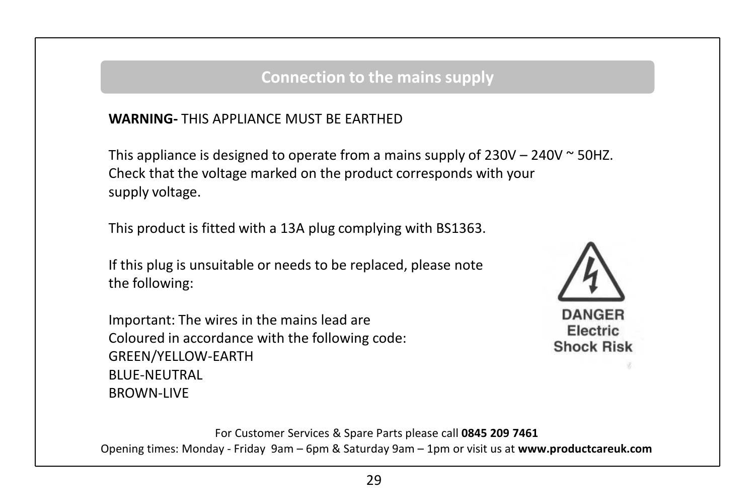## **Connection to the mains supply**

### **WARNING-** THIS APPLIANCE MUST BE EARTHED

This appliance is designed to operate from a mains supply of  $230V - 240V \approx 50HZ$ . Check that the voltage marked on the product corresponds with your supply voltage.

This product is fitted with a 13A plug complying with BS1363.

If this plug is unsuitable or needs to be replaced, please note the following:

Important: The wires in the mains lead are Coloured in accordance with the following code: GREEN/YELLOW-EARTH BLUE-NEUTRAL BROWN-LIVE



**DANGER Electric Shock Risk**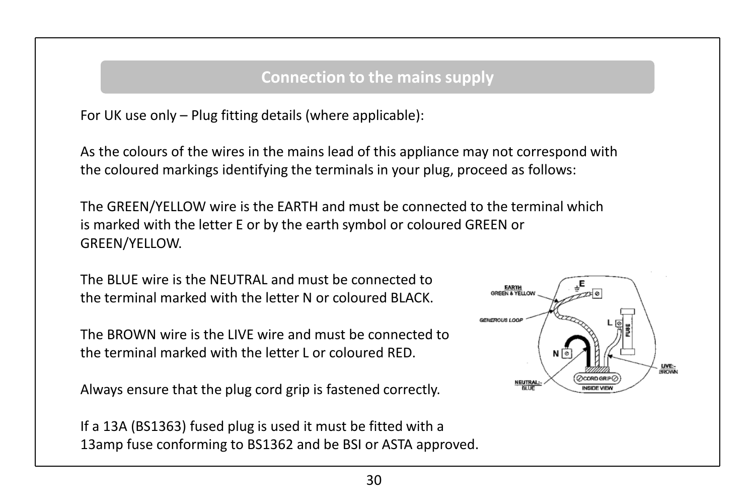## **Connection to the mains supply**

For UK use only – Plug fitting details (where applicable):

As the colours of the wires in the mains lead of this appliance may not correspond with the coloured markings identifying the terminals in your plug, proceed as follows:

The GREEN/YELLOW wire is the EARTH and must be connected to the terminal which is marked with the letter E or by the earth symbol or coloured GREEN or GREEN/YELLOW.

The BLUE wire is the NEUTRAL and must be connected to the terminal marked with the letter N or coloured BLACK.

The BROWN wire is the LIVE wire and must be connected to the terminal marked with the letter L or coloured RED.

Always ensure that the plug cord grip is fastened correctly.

If a 13A (BS1363) fused plug is used it must be fitted with a 13amp fuse conforming to BS1362 and be BSI or ASTA approved.

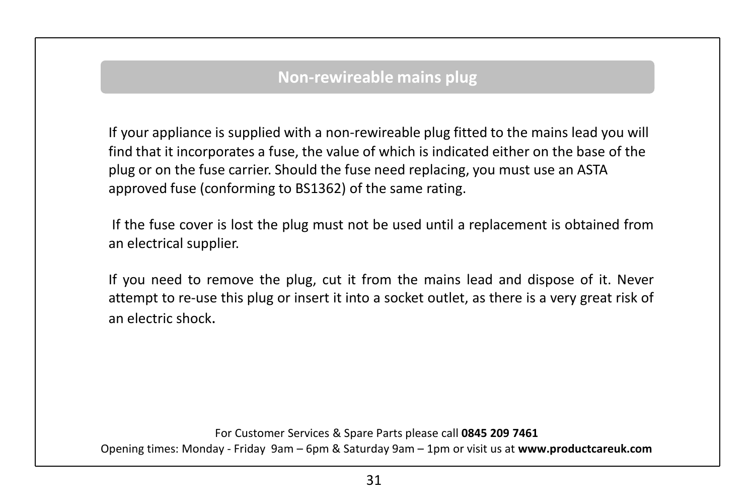## **Non-rewireable mains plug**

If your appliance is supplied with a non-rewireable plug fitted to the mains lead you will find that it incorporates a fuse, the value of which is indicated either on the base of the plug or on the fuse carrier. Should the fuse need replacing, you must use an ASTA approved fuse (conforming to BS1362) of the same rating.

If the fuse cover is lost the plug must not be used until a replacement is obtained from an electrical supplier.

If you need to remove the plug, cut it from the mains lead and dispose of it. Never attempt to re-use this plug or insert it into a socket outlet, as there is a very great risk of an electric shock.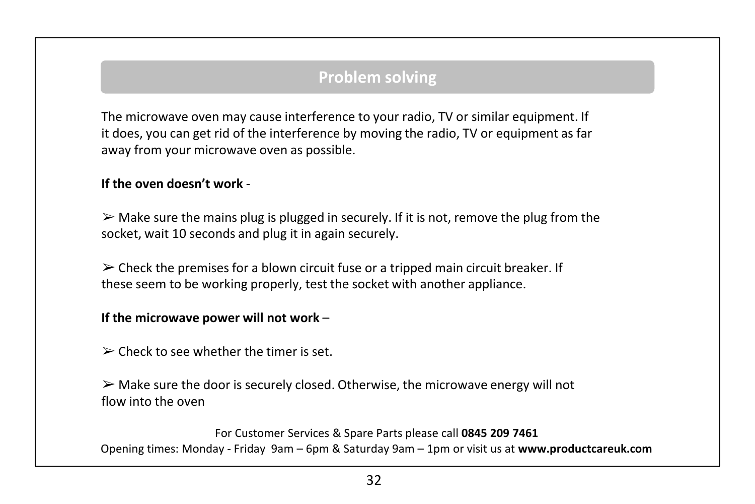# **Problem solving**

The microwave oven may cause interference to your radio, TV or similar equipment. If it does, you can get rid of the interference by moving the radio, TV or equipment as far away from your microwave oven as possible.

#### **If the oven doesn't work** -

 $\triangleright$  Make sure the mains plug is plugged in securely. If it is not, remove the plug from the socket, wait 10 seconds and plug it in again securely.

 $\triangleright$  Check the premises for a blown circuit fuse or a tripped main circuit breaker. If these seem to be working properly, test the socket with another appliance.

#### **If the microwave power will not work** –

 $\geq$  Check to see whether the timer is set.

 $\triangleright$  Make sure the door is securely closed. Otherwise, the microwave energy will not flow into the oven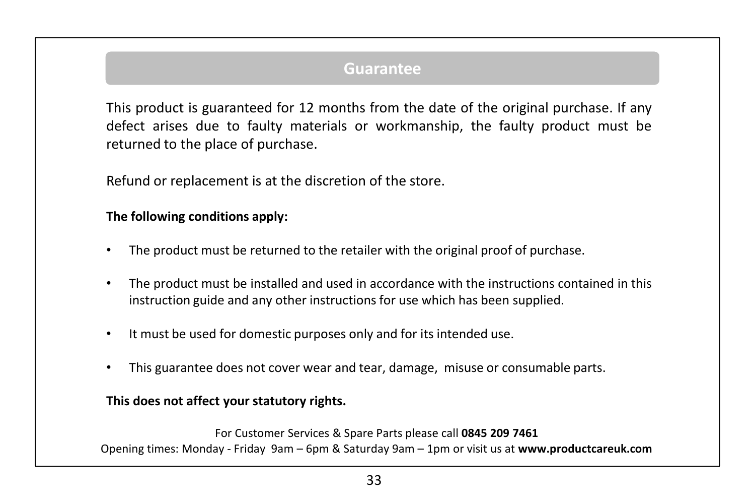### **Guarantee**

This product is guaranteed for 12 months from the date of the original purchase. If any defect arises due to faulty materials or workmanship, the faulty product must be returned to the place of purchase.

Refund or replacement is at the discretion of the store.

#### **The following conditions apply:**

- The product must be returned to the retailer with the original proof of purchase.
- The product must be installed and used in accordance with the instructions contained in this instruction guide and any other instructions for use which has been supplied.
- It must be used for domestic purposes only and for its intended use.
- This guarantee does not cover wear and tear, damage, misuse or consumable parts.

#### **This does not affect your statutory rights.**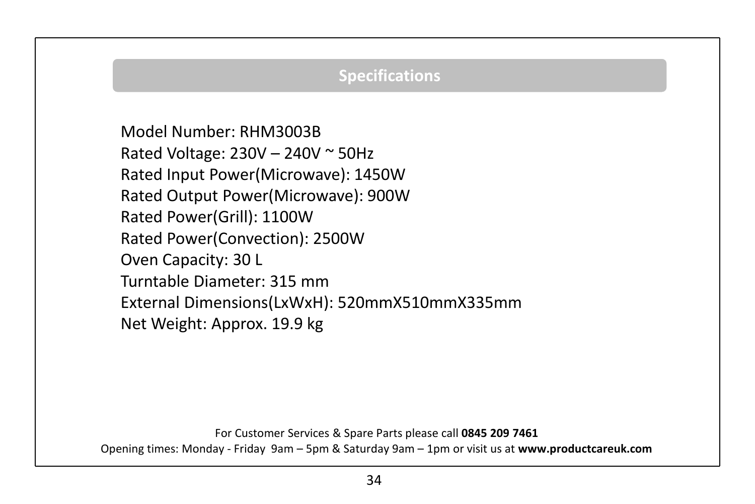# **Specifications**

Model Number: RHM3003B Rated Voltage: 230V – 240V ~ 50Hz Rated Input Power(Microwave): 1450W Rated Output Power(Microwave): 900W Rated Power(Grill): 1100W Rated Power(Convection): 2500W Oven Capacity: 30 L Turntable Diameter: 315 mm External Dimensions(LxWxH): 520mmX510mmX335mm Net Weight: Approx. 19.9 kg